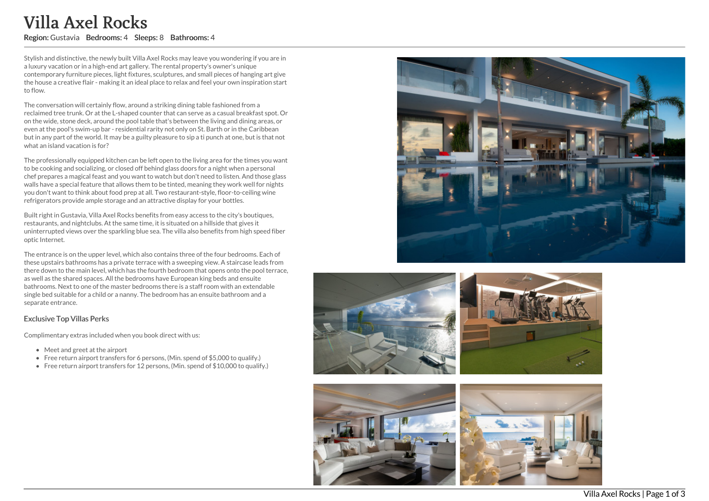## Villa Axel Rocks

## Region: Gustavia Bedrooms: 4 Sleeps: 8 Bathrooms: 4

Stylish and distinctive, the newly built Villa Axel Rocks may leave you wondering if you are in a luxury vacation or in a high-end art gallery. The rental property's owner's unique contemporary furniture pieces, light fixtures, sculptures, and small pieces of hanging art give the house a creative flair - making it an ideal place to relax and feel your own inspiration start to flow.

The conversation will certainly flow, around a striking dining table fashioned from a reclaimed tree trunk. Or at the L-shaped counter that can serve as a casual breakfast spot. Or on the wide, stone deck, around the pool table that's between the living and dining areas, or even at the pool's swim-up bar - residential rarity not only on St. Barth or in the Caribbean but in any part of the world. It may be a guilty pleasure to sip a ti punch at one, but is that not what an island vacation is for?

The professionally equipped kitchen can be left open to the living area for the times you want to be cooking and socializing, or closed off behind glass doors for a night when a personal chef prepares a magical feast and you want to watch but don't need to listen. And those glass walls have a special feature that allows them to be tinted, meaning they work well for nights you don't want to think about food prep at all. Two restaurant-style, floor-to-ceiling wine refrigerators provide ample storage and an attractive display for your bottles.

Built right in Gustavia, Villa Axel Rocks benefits from easy access to the city's boutiques, restaurants, and nightclubs. At the same time, it is situated on a hillside that gives it uninterrupted views over the sparkling blue sea. The villa also benefits from high speed fiber optic Internet.

The entrance is on the upper level, which also contains three of the four bedrooms. Each of these upstairs bathrooms has a private terrace with a sweeping view. A staircase leads from there down to the main level, which has the fourth bedroom that opens onto the pool terrace, as well as the shared spaces. All the bedrooms have European king beds and ensuite bathrooms. Next to one of the master bedrooms there is a staff room with an extendable single bed suitable for a child or a nanny. The bedroom has an ensuite bathroom and a separate entrance.

## Exclusive Top Villas Perks

Complimentary extras included when you book direct with us:

- Meet and greet at the airport
- Free return airport transfers for 6 persons, (Min. spend of \$5,000 to qualify.)
- Free return airport transfers for 12 persons, (Min. spend of \$10,000 to qualify.)







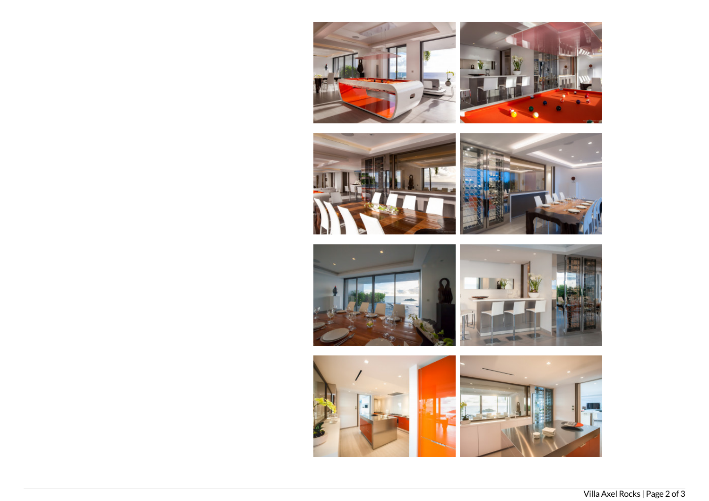